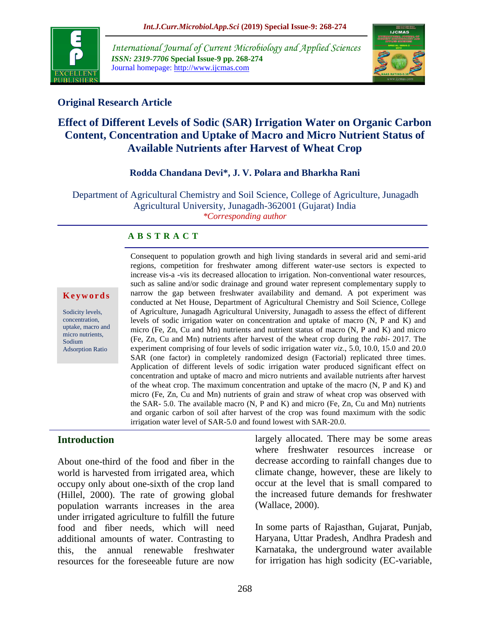

*International Journal of Current Microbiology and Applied Sciences ISSN: 2319-7706* **Special Issue-9 pp. 268-274** Journal homepage: http://www.ijcmas.com



# **Original Research Article**

# **Effect of Different Levels of Sodic (SAR) Irrigation Water on Organic Carbon Content, Concentration and Uptake of Macro and Micro Nutrient Status of Available Nutrients after Harvest of Wheat Crop**

## **Rodda Chandana Devi\*, J. V. Polara and Bharkha Rani**

Department of Agricultural Chemistry and Soil Science, College of Agriculture, Junagadh Agricultural University, Junagadh-362001 (Gujarat) India *\*Corresponding author*

#### **A B S T R A C T**

#### **K e y w o r d s**

Sodicity levels, concentration, uptake, macro and micro nutrients, Sodium Adsorption Ratio

Consequent to population growth and high living standards in several arid and semi-arid regions, competition for freshwater among different water-use sectors is expected to increase vis-a -vis its decreased allocation to irrigation. Non-conventional water resources, such as saline and/or sodic drainage and ground water represent complementary supply to narrow the gap between freshwater availability and demand. A pot experiment was conducted at Net House, Department of Agricultural Chemistry and Soil Science, College of Agriculture, Junagadh Agricultural University, Junagadh to assess the effect of different levels of sodic irrigation water on concentration and uptake of macro (N, P and K) and micro (Fe, Zn, Cu and Mn) nutrients and nutrient status of macro (N, P and K) and micro (Fe, Zn, Cu and Mn) nutrients after harvest of the wheat crop during the *rabi*- 2017. The experiment comprising of four levels of sodic irrigation water *viz*., 5.0, 10.0, 15.0 and 20.0 SAR (one factor) in completely randomized design (Factorial) replicated three times. Application of different levels of sodic irrigation water produced significant effect on concentration and uptake of macro and micro nutrients and available nutrients after harvest of the wheat crop. The maximum concentration and uptake of the macro (N, P and K) and micro (Fe, Zn, Cu and Mn) nutrients of grain and straw of wheat crop was observed with the SAR- 5.0. The available macro (N, P and K) and micro (Fe, Zn, Cu and Mn) nutrients and organic carbon of soil after harvest of the crop was found maximum with the sodic irrigation water level of SAR-5.0 and found lowest with SAR-20.0.

## **Introduction**

About one-third of the food and fiber in the world is harvested from irrigated area, which occupy only about one-sixth of the crop land (Hillel, 2000). The rate of growing global population warrants increases in the area under irrigated agriculture to fulfill the future food and fiber needs, which will need additional amounts of water. Contrasting to this, the annual renewable freshwater resources for the foreseeable future are now where freshwater resources increase or decrease according to rainfall changes due to climate change, however, these are likely to occur at the level that is small compared to the increased future demands for freshwater (Wallace, 2000).

largely allocated. There may be some areas

In some parts of Rajasthan, Gujarat, Punjab, Haryana, Uttar Pradesh, Andhra Pradesh and Karnataka, the underground water available for irrigation has high sodicity (EC-variable,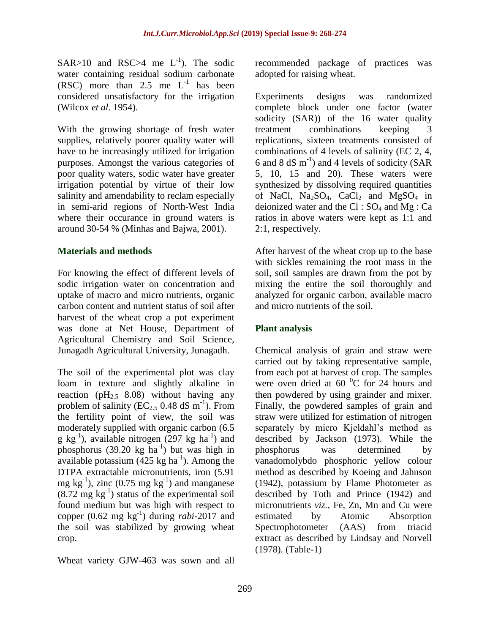SAR>10 and RSC>4 me  $L^{-1}$ ). The sodic water containing residual sodium carbonate (RSC) more than  $2.5$  me  $L^{-1}$  has been considered unsatisfactory for the irrigation (Wilcox *et al*. 1954).

With the growing shortage of fresh water supplies, relatively poorer quality water will have to be increasingly utilized for irrigation purposes. Amongst the various categories of poor quality waters, sodic water have greater irrigation potential by virtue of their low salinity and amendability to reclam especially in semi-arid regions of North-West India where their occurance in ground waters is around 30-54 % (Minhas and Bajwa, 2001).

#### **Materials and methods**

For knowing the effect of different levels of sodic irrigation water on concentration and uptake of macro and micro nutrients, organic carbon content and nutrient status of soil after harvest of the wheat crop a pot experiment was done at Net House, Department of Agricultural Chemistry and Soil Science, Junagadh Agricultural University, Junagadh.

The soil of the experimental plot was clay loam in texture and slightly alkaline in reaction ( $pH<sub>2.5</sub>$  8.08) without having any problem of salinity  $(EC_{2.5} 0.48 \text{ dS m}^{-1})$ . From the fertility point of view, the soil was moderately supplied with organic carbon (6.5  $g$  kg<sup>-1</sup>), available nitrogen (297 kg ha<sup>-1</sup>) and phosphorus  $(39.20 \text{ kg} \text{ ha}^{-1})$  but was high in available potassium  $(425 \text{ kg ha}^{-1})$ . Among the DTPA extractable micronutrients, iron (5.91 mg  $kg^{-1}$ ), zinc (0.75 mg  $kg^{-1}$ ) and manganese  $(8.72 \text{ mg kg}^{-1})$  status of the experimental soil found medium but was high with respect to copper (0.62 mg kg-1 ) during *rabi*-2017 and the soil was stabilized by growing wheat crop.

Wheat variety GJW-463 was sown and all

recommended package of practices was adopted for raising wheat.

Experiments designs was randomized complete block under one factor (water sodicity (SAR)) of the 16 water quality treatment combinations keeping replications, sixteen treatments consisted of combinations of 4 levels of salinity (EC 2, 4, 6 and 8 dS  $m^{-1}$ ) and 4 levels of sodicity (SAR 5, 10, 15 and 20). These waters were synthesized by dissolving required quantities of NaCl,  $Na<sub>2</sub>SO<sub>4</sub>$ , CaCl<sub>2</sub> and MgSO<sub>4</sub> in deionized water and the  $Cl : SO_4$  and  $Mg : Ca$ ratios in above waters were kept as 1:1 and 2:1, respectively.

After harvest of the wheat crop up to the base with sickles remaining the root mass in the soil, soil samples are drawn from the pot by mixing the entire the soil thoroughly and analyzed for organic carbon, available macro and micro nutrients of the soil.

## **Plant analysis**

Chemical analysis of grain and straw were carried out by taking representative sample, from each pot at harvest of crop. The samples were oven dried at  $60<sup>0</sup>C$  for 24 hours and then powdered by using grainder and mixer. Finally, the powdered samples of grain and straw were utilized for estimation of nitrogen separately by micro Kjeldahl's method as described by Jackson (1973). While the phosphorus was determined by vanadomolybdo phosphoric yellow colour method as described by Koeing and Jahnson (1942), potassium by Flame Photometer as described by Toth and Prince (1942) and micronutrients *viz.,* Fe, Zn, Mn and Cu were estimated by Atomic Absorption Spectrophotometer (AAS) from triacid extract as described by Lindsay and Norvell (1978). (Table-1)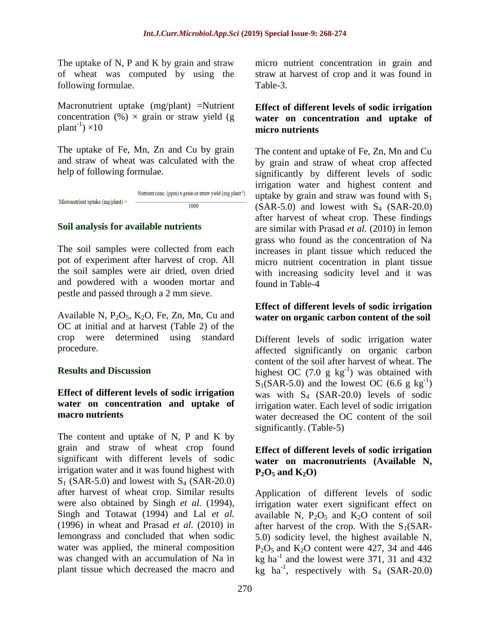The uptake of N, P and K by grain and straw of wheat was computed by using the following formulae.

Macronutrient uptake (mg/plant) =Nutrient concentration  $(\%) \times \text{grain}$  or straw yield (g)  $plan<sup>-1</sup>$ ) ×10

The uptake of Fe, Mn, Zn and Cu by grain and straw of wheat was calculated with the help of following formulae.

Nutrient conc. (ppm) x grain or straw yield (mg plant<sup>1</sup>) Micronutrient uptake (mg/plant) = 1000

## **Soil analysis for available nutrients**

The soil samples were collected from each pot of experiment after harvest of crop. All the soil samples were air dried, oven dried and powdered with a wooden mortar and pestle and passed through a 2 mm sieve.

Available N,  $P_2O_5$ , K<sub>2</sub>O, Fe, Zn, Mn, Cu and OC at initial and at harvest (Table 2) of the crop were determined using standard procedure.

## **Results and Discussion**

## **Effect of different levels of sodic irrigation water on concentration and uptake of macro nutrients**

The content and uptake of N, P and K by grain and straw of wheat crop found significant with different levels of sodic irrigation water and it was found highest with  $S_1$  (SAR-5.0) and lowest with  $S_4$  (SAR-20.0) after harvest of wheat crop. Similar results were also obtained by Singh *et al.* (1994), Singh and Totawat (1994) and Lal *et al.* (1996) in wheat and Prasad *et al.* (2010) in lemongrass and concluded that when sodic water was applied, the mineral composition was changed with an accumulation of Na in plant tissue which decreased the macro and micro nutrient concentration in grain and straw at harvest of crop and it was found in Table-3.

#### **Effect of different levels of sodic irrigation water on concentration and uptake of micro nutrients**

The content and uptake of Fe, Zn, Mn and Cu by grain and straw of wheat crop affected significantly by different levels of sodic irrigation water and highest content and uptake by grain and straw was found with  $S_1$  $(SAR-5.0)$  and lowest with  $S<sub>4</sub>$   $(SAR-20.0)$ after harvest of wheat crop. These findings are similar with Prasad *et al.* (2010) in lemon grass who found as the concentration of Na increases in plant tissue which reduced the micro nutrient cocentration in plant tissue with increasing sodicity level and it was found in Table-4

## **Effect of different levels of sodic irrigation water on organic carbon content of the soil**

Different levels of sodic irrigation water affected significantly on organic carbon content of the soil after harvest of wheat. The highest OC  $(7.0 \text{ g kg}^{-1})$  was obtained with  $S_1(SAR-5.0)$  and the lowest OC (6.6 g kg<sup>-1</sup>) was with S<sup>4</sup> (SAR-20.0) levels of sodic irrigation water. Each level of sodic irrigation water decreased the OC content of the soil significantly. (Table-5)

# **Effect of different levels of sodic irrigation water on macronutrients (Available N,**   $P_2O_5$  and  $K_2O$

Application of different levels of sodic irrigation water exert significant effect on available N,  $P_2O_5$  and  $K_2O$  content of soil after harvest of the crop. With the  $S_1(SAR -$ 5.0) sodicity level, the highest available N,  $P_2O_5$  and  $K_2O$  content were 427, 34 and 446 kg ha<sup>-1</sup> and the lowest were 371, 31 and 432  $kg$  ha<sup>-1</sup>, respectively with S<sub>4</sub> (SAR-20.0)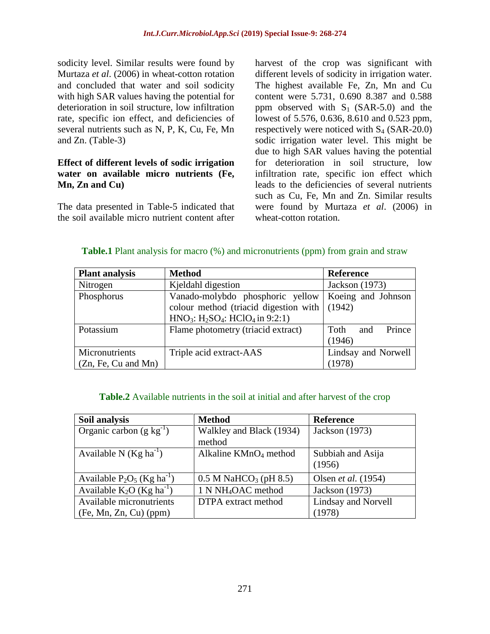sodicity level. Similar results were found by Murtaza *et al*. (2006) in wheat-cotton rotation and concluded that water and soil sodicity with high SAR values having the potential for deterioration in soil structure, low infiltration rate, specific ion effect, and deficiencies of several nutrients such as N, P, K, Cu, Fe, Mn and Zn. (Table-3)

#### **Effect of different levels of sodic irrigation water on available micro nutrients (Fe, Mn, Zn and Cu)**

The data presented in Table-5 indicated that the soil available micro nutrient content after

harvest of the crop was significant with different levels of sodicity in irrigation water. The highest available Fe, Zn, Mn and Cu content were 5.731, 0.690 8.387 and 0.588 ppm observed with  $S_1$  (SAR-5.0) and the lowest of 5.576, 0.636, 8.610 and 0.523 ppm, respectively were noticed with  $S_4$  (SAR-20.0) sodic irrigation water level. This might be due to high SAR values having the potential for deterioration in soil structure, low infiltration rate, specific ion effect which leads to the deficiencies of several nutrients such as Cu, Fe, Mn and Zn. Similar results were found by Murtaza *et al*. (2006) in wheat-cotton rotation.

# **Table.1** Plant analysis for macro (%) and micronutrients (ppm) from grain and straw

| <b>Plant analysis</b> | <b>Method</b>                         | <b>Reference</b>      |  |  |  |
|-----------------------|---------------------------------------|-----------------------|--|--|--|
| Nitrogen              | Kjeldahl digestion                    | Jackson (1973)        |  |  |  |
| Phosphorus            | Vanado-molybdo phosphoric yellow      | Koeing and Johnson    |  |  |  |
|                       | colour method (triacid digestion with | (1942)                |  |  |  |
|                       | $HNO3: H2SO4: HClO4 in 9:2:1)$        |                       |  |  |  |
| Potassium             | Flame photometry (triacid extract)    | Prince<br>Toth<br>and |  |  |  |
|                       |                                       | (1946)                |  |  |  |
| Micronutrients        | Triple acid extract-AAS               | Lindsay and Norwell   |  |  |  |
| (Zn, Fe, Cu and Mn)   |                                       | (1978)                |  |  |  |

#### **Table.2** Available nutrients in the soil at initial and after harvest of the crop

| Soil analysis                              | <b>Method</b>                      | <b>Reference</b>            |
|--------------------------------------------|------------------------------------|-----------------------------|
| Organic carbon $(g \, kg^{-1})$            | Walkley and Black (1934)<br>method | Jackson (1973)              |
| Available N $(Kg ha^{-1})$                 | Alkaline $KMnO4$ method            | Subbiah and Asija<br>(1956) |
| Available $P_2O_5$ (Kg ha <sup>-1</sup> )  | $0.5 M NaHCO3$ (pH 8.5)            | Olsen <i>et al.</i> (1954)  |
| Available $K_2O$ ( $Kg$ ha <sup>-1</sup> ) | 1 N NH <sub>4</sub> OAC method     | Jackson (1973)              |
| Available micronutrients                   | DTPA extract method                | Lindsay and Norvell         |
| (Fe, Mn, Zn, Cu) (ppm)                     |                                    | (1978)                      |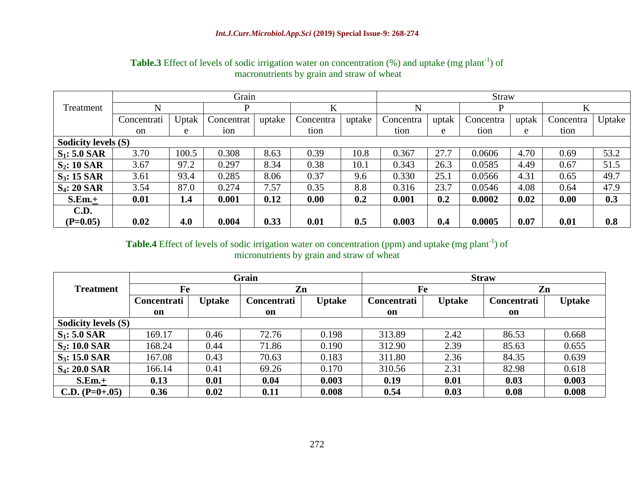|                            | Grain         |       |            |        |           |        | <b>Straw</b> |       |           |       |           |        |
|----------------------------|---------------|-------|------------|--------|-----------|--------|--------------|-------|-----------|-------|-----------|--------|
| Treatment                  |               |       |            |        | K         |        |              |       |           |       |           |        |
|                            | Concentrati   | Uptak | Concentrat | uptake | Concentra | uptake | Concentra    | uptak | Concentra | uptak | Concentra | Uptake |
|                            | <sub>on</sub> | e     | 10n        |        | tion      |        | tion         | e     | tion      | e     | tion      |        |
| <b>Sodicity levels (S)</b> |               |       |            |        |           |        |              |       |           |       |           |        |
| $S_1: 5.0 SAR$             | 3.70          | 100.5 | 0.308      | 8.63   | 0.39      | 10.8   | 0.367        | 27.7  | 0.0606    | 4.70  | 0.69      | 53.2   |
| $S_2$ : 10 SAR             | 3.67          | 97.2  | 0.297      | 8.34   | 0.38      | 10.1   | 0.343        | 26.3  | 0.0585    | 4.49  | 0.67      | 51.5   |
| $S_3$ : 15 SAR             | 3.61          | 93.4  | 0.285      | 8.06   | 0.37      | 9.6    | 0.330        | 25.1  | 0.0566    | 4.31  | 0.65      | 49.7   |
| $S_4$ : 20 SAR             | 3.54          | 87.0  | 0.274      | 7.57   | 0.35      | 8.8    | 0.316        | 23.7  | 0.0546    | 4.08  | 0.64      | 47.9   |
| $S.Em.+$                   | 0.01          | 1.4   | 0.001      | 0.12   | 0.00      | 0.2    | 0.001        | 0.2   | 0.0002    | 0.02  | 0.00      | 0.3    |
| C.D.                       |               |       |            |        |           |        |              |       |           |       |           |        |
| $(P=0.05)$                 | 0.02          | 4.0   | 0.004      | 0.33   | 0.01      | 0.5    | 0.003        | 0.4   | 0.0005    | 0.07  | 0.01      | 0.8    |

# **Table.3** Effect of levels of sodic irrigation water on concentration  $(\%)$  and uptake  $(mg plant^{-1})$  of macronutrients by grain and straw of wheat

**Table.4** Effect of levels of sodic irrigation water on concentration (ppm) and uptake (mg plant<sup>-1</sup>) of micronutrients by grain and straw of wheat

|                                |                                    |      | Grain              |        | <b>Straw</b> |                              |       |               |  |
|--------------------------------|------------------------------------|------|--------------------|--------|--------------|------------------------------|-------|---------------|--|
| <b>Treatment</b>               | Fe<br><b>Uptake</b><br>Concentrati |      | Zn                 |        | Fe           |                              | Zn    |               |  |
|                                |                                    |      | <b>Concentrati</b> | Uptake |              | <b>Uptake</b><br>Concentrati |       | <b>Uptake</b> |  |
|                                | on                                 |      | on                 |        | on           |                              | on    |               |  |
| <b>Sodicity levels (S)</b>     |                                    |      |                    |        |              |                              |       |               |  |
| $S_1: 5.0 SAR$                 | 169.17                             | 0.46 | 72.76              | 0.198  | 313.89       | 2.42                         | 86.53 | 0.668         |  |
| $S_2$ : 10.0 SAR               | 168.24                             | 0.44 | 71.86              | 0.190  | 312.90       | 2.39                         | 85.63 | 0.655         |  |
| $S_3$ : 15.0 SAR               | 167.08                             | 0.43 | 70.63              | 0.183  | 311.80       | 2.36                         | 84.35 | 0.639         |  |
| <b>S<sub>4</sub>: 20.0 SAR</b> | 166.14                             | 0.41 | 69.26              | 0.170  | 310.56       | 2.31                         | 82.98 | 0.618         |  |
| $S.Em.+$                       | 0.13                               | 0.01 | 0.04               | 0.003  | 0.19         | 0.01                         | 0.03  | 0.003         |  |
| $C.D. (P=0+.05)$               | 0.36                               | 0.02 | 0.11               | 0.008  | 0.54         | 0.03                         | 0.08  | 0.008         |  |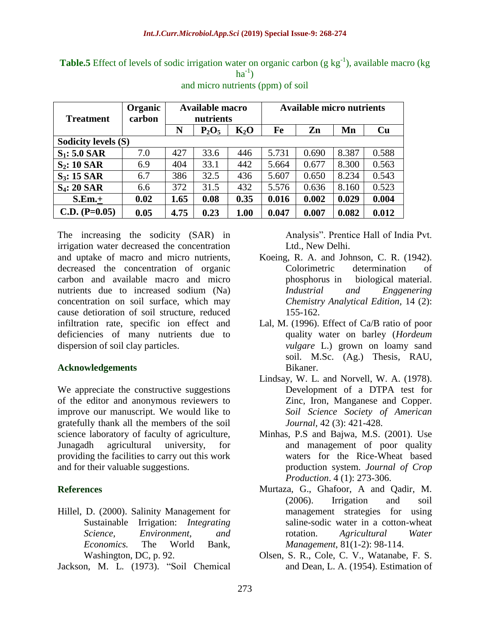**Table.5** Effect of levels of sodic irrigation water on organic carbon  $(g kg^{-1})$ , available macro (kg  $ha^{-1}$ )

| <b>Treatment</b>             | Organic<br>carbon | <b>Available macro</b><br>nutrients |          |        |       | <b>Available micro nutrients</b> |       |       |  |  |
|------------------------------|-------------------|-------------------------------------|----------|--------|-------|----------------------------------|-------|-------|--|--|
|                              |                   | N                                   | $P_2O_5$ | $K_2O$ | Fe    | Zn                               | Mn    | Cu    |  |  |
| Sodicity levels (S)          |                   |                                     |          |        |       |                                  |       |       |  |  |
| $S_1: 5.0 SAR$               | 7.0               | 427                                 | 33.6     | 446    | 5.731 | 0.690                            | 8.387 | 0.588 |  |  |
| $S_2$ : 10 SAR               | 6.9               | 404                                 | 33.1     | 442    | 5.664 | 0.677                            | 8.300 | 0.563 |  |  |
| $S_3$ : 15 SAR               | 6.7               | 386                                 | 32.5     | 436    | 5.607 | 0.650                            | 8.234 | 0.543 |  |  |
| <b>S<sub>4</sub>: 20 SAR</b> | 6.6               | 372                                 | 31.5     | 432    | 5.576 | 0.636                            | 8.160 | 0.523 |  |  |
| $S.Em.+$                     | 0.02              | 1.65                                | 0.08     | 0.35   | 0.016 | 0.002                            | 0.029 | 0.004 |  |  |
| $C.D. (P=0.05)$              | 0.05              | 4.75                                | 0.23     | 1.00   | 0.047 | 0.007                            | 0.082 | 0.012 |  |  |

and micro nutrients (ppm) of soil

The increasing the sodicity (SAR) in irrigation water decreased the concentration and uptake of macro and micro nutrients, decreased the concentration of organic carbon and available macro and micro nutrients due to increased sodium (Na) concentration on soil surface, which may cause detioration of soil structure, reduced infiltration rate, specific ion effect and deficiencies of many nutrients due to dispersion of soil clay particles.

## **Acknowledgements**

We appreciate the constructive suggestions of the editor and anonymous reviewers to improve our manuscript. We would like to gratefully thank all the members of the soil science laboratory of faculty of agriculture, Junagadh agricultural university, for providing the facilities to carry out this work and for their valuable suggestions.

## **References**

Hillel, D. (2000). Salinity Management for Sustainable Irrigation: *Integrating Science, Environment, and Economics.* The World Bank, Washington, DC, p. 92.

Jackson, M. L. (1973). "Soil Chemical

Analysis". Prentice Hall of India Pvt. Ltd., New Delhi.

- Koeing, R. A. and Johnson, C. R. (1942). Colorimetric determination of phosphorus in biological material. *Industrial and Enggenering Chemistry Analytical Edition,* 14 (2): 155-162.
- Lal, M. (1996). Effect of Ca/B ratio of poor quality water on barley (*Hordeum vulgare* L.) grown on loamy sand soil. M.Sc. (Ag.) Thesis*,* RAU, Bikaner.
- Lindsay, W. L. and Norvell, W. A. (1978). Development of a DTPA test for Zinc, Iron, Manganese and Copper. *Soil Science Society of American Journal,* 42 (3): 421-428.
- Minhas, P.S and Bajwa, M.S. (2001). Use and management of poor quality waters for the Rice-Wheat based production system. *Journal of Crop Production*. 4 (1): 273-306.
- Murtaza, G., Ghafoor, A and Qadir, M. (2006). Irrigation and soil management strategies for using saline-sodic water in a cotton-wheat rotation. *Agricultural Water Management*, 81(1-2): 98-114.
- Olsen, S. R., Cole, C. V., Watanabe, F. S. and Dean, L. A. (1954). Estimation of